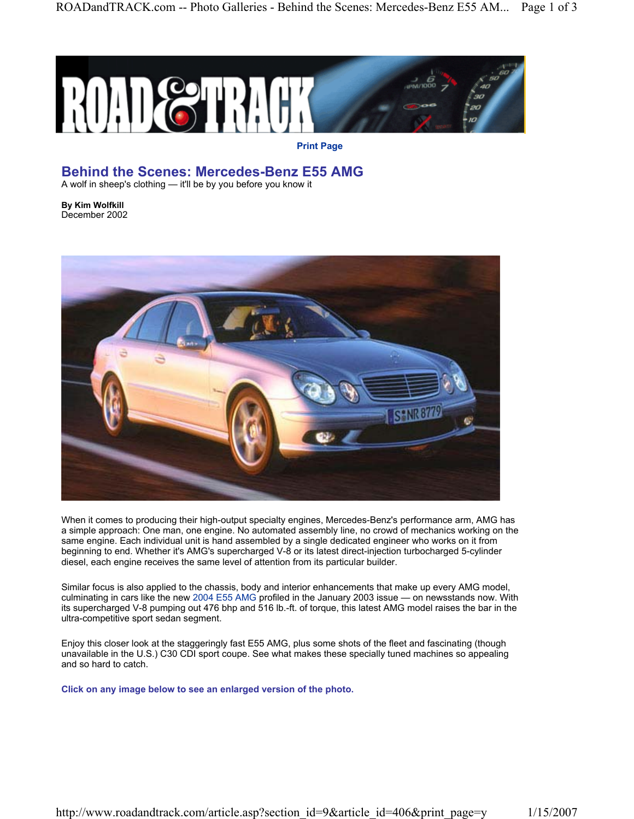

**Print Page**

## **Behind the Scenes: Mercedes-Benz E55 AMG**

A wolf in sheep's clothing — it'll be by you before you know it

**By Kim Wolfkill** December 2002



When it comes to producing their high-output specialty engines, Mercedes-Benz's performance arm, AMG has a simple approach: One man, one engine. No automated assembly line, no crowd of mechanics working on the same engine. Each individual unit is hand assembled by a single dedicated engineer who works on it from beginning to end. Whether it's AMG's supercharged V-8 or its latest direct-injection turbocharged 5-cylinder diesel, each engine receives the same level of attention from its particular builder.

Similar focus is also applied to the chassis, body and interior enhancements that make up every AMG model, culminating in cars like the new 2004 E55 AMG profiled in the January 2003 issue — on newsstands now. With its supercharged V-8 pumping out 476 bhp and 516 lb.-ft. of torque, this latest AMG model raises the bar in the ultra-competitive sport sedan segment.

Enjoy this closer look at the staggeringly fast E55 AMG, plus some shots of the fleet and fascinating (though unavailable in the U.S.) C30 CDI sport coupe. See what makes these specially tuned machines so appealing and so hard to catch.

**Click on any image below to see an enlarged version of the photo.**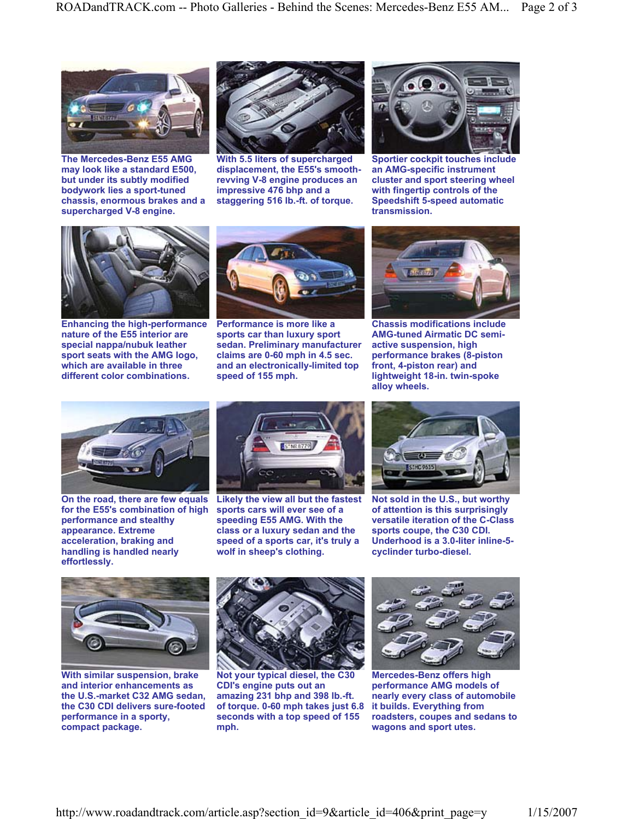

**The Mercedes-Benz E55 AMG may look like a standard E500, but under its subtly modified bodywork lies a sport-tuned chassis, enormous brakes and a supercharged V-8 engine.** 



**With 5.5 liters of supercharged displacement, the E55's smoothrevving V-8 engine produces an impressive 476 bhp and a staggering 516 lb.-ft. of torque.** 



**Sportier cockpit touches include an AMG-specific instrument cluster and sport steering wheel with fingertip controls of the Speedshift 5-speed automatic transmission.** 



**Enhancing the high-performance nature of the E55 interior are special nappa/nubuk leather sport seats with the AMG logo, which are available in three different color combinations.** 



**Performance is more like a sports car than luxury sport sedan. Preliminary manufacturer claims are 0-60 mph in 4.5 sec. and an electronically-limited top speed of 155 mph.** 



**Chassis modifications include AMG-tuned Airmatic DC semiactive suspension, high performance brakes (8-piston front, 4-piston rear) and lightweight 18-in. twin-spoke alloy wheels.** 



**On the road, there are few equals for the E55's combination of high performance and stealthy appearance. Extreme acceleration, braking and handling is handled nearly effortlessly.** 



**Likely the view all but the fastest sports cars will ever see of a speeding E55 AMG. With the class or a luxury sedan and the speed of a sports car, it's truly a wolf in sheep's clothing.** 



**Not sold in the U.S., but worthy of attention is this surprisingly versatile iteration of the C-Class sports coupe, the C30 CDI. Underhood is a 3.0-liter inline-5 cyclinder turbo-diesel.** 



**With similar suspension, brake and interior enhancements as the U.S.-market C32 AMG sedan, the C30 CDI delivers sure-footed performance in a sporty, compact package.** 



**Not your typical diesel, the C30 CDI's engine puts out an amazing 231 bhp and 398 lb.-ft. of torque. 0-60 mph takes just 6.8 seconds with a top speed of 155 mph.** 



**Mercedes-Benz offers high performance AMG models of nearly every class of automobile it builds. Everything from roadsters, coupes and sedans to wagons and sport utes.**